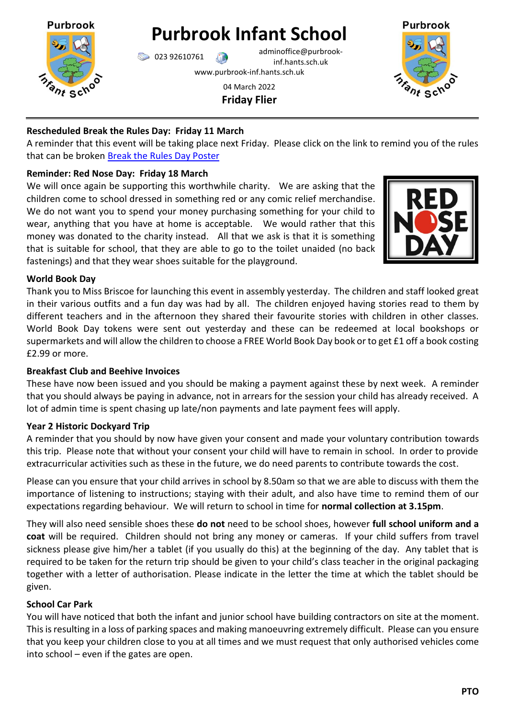

**Purbrook Infant School**

023 92610761 adminoffice@purbrookinf.hants.sch.uk www.purbrook-inf.hants.sch.uk

> 04 March 2022 **Friday Flier**



# **Rescheduled Break the Rules Day: Friday 11 March**

A reminder that this event will be taking place next Friday. Please click on the link to remind you of the rules that can be broken [Break the Rules Day Poster](https://www.purbrook-inf.hants.sch.uk/wp-content/uploads/2022/02/break-the-rules-day-2-LOW-EDIT.pdf)

# **Reminder: Red Nose Day: Friday 18 March**

We will once again be supporting this worthwhile charity. We are asking that the children come to school dressed in something red or any comic relief merchandise. We do not want you to spend your money purchasing something for your child to wear, anything that you have at home is acceptable. We would rather that this money was donated to the charity instead. All that we ask is that it is something that is suitable for school, that they are able to go to the toilet unaided (no back fastenings) and that they wear shoes suitable for the playground.



## **World Book Day**

Thank you to Miss Briscoe for launching this event in assembly yesterday. The children and staff looked great in their various outfits and a fun day was had by all. The children enjoyed having stories read to them by different teachers and in the afternoon they shared their favourite stories with children in other classes. World Book Day tokens were sent out yesterday and these can be redeemed at local bookshops or supermarkets and will allow the children to choose a FREE World Book Day book or to get £1 off a book costing £2.99 or more.

## **Breakfast Club and Beehive Invoices**

These have now been issued and you should be making a payment against these by next week. A reminder that you should always be paying in advance, not in arrears for the session your child has already received. A lot of admin time is spent chasing up late/non payments and late payment fees will apply.

# **Year 2 Historic Dockyard Trip**

A reminder that you should by now have given your consent and made your voluntary contribution towards this trip. Please note that without your consent your child will have to remain in school. In order to provide extracurricular activities such as these in the future, we do need parents to contribute towards the cost.

Please can you ensure that your child arrives in school by 8.50am so that we are able to discuss with them the importance of listening to instructions; staying with their adult, and also have time to remind them of our expectations regarding behaviour. We will return to school in time for **normal collection at 3.15pm**.

They will also need sensible shoes these **do not** need to be school shoes, however **full school uniform and a coat** will be required. Children should not bring any money or cameras. If your child suffers from travel sickness please give him/her a tablet (if you usually do this) at the beginning of the day. Any tablet that is required to be taken for the return trip should be given to your child's class teacher in the original packaging together with a letter of authorisation. Please indicate in the letter the time at which the tablet should be given.

# **School Car Park**

You will have noticed that both the infant and junior school have building contractors on site at the moment. This is resulting in a loss of parking spaces and making manoeuvring extremely difficult. Please can you ensure that you keep your children close to you at all times and we must request that only authorised vehicles come into school – even if the gates are open.